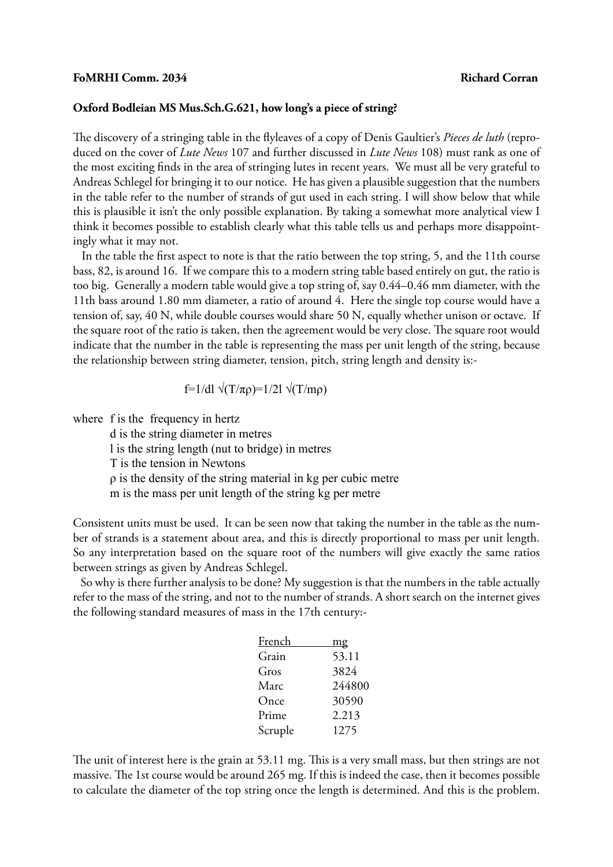## **Oxford Bodleian MS Mus.Sch.G.621, how long's a piece of string?**

The discovery of a stringing table in the flyleaves of a copy of Denis Gaultier's *Pieces de luth* (reproduced on the cover of *Lute News* 107 and further discussed in *Lute News* 108) must rank as one of the most exciting finds in the area of stringing lutes in recent years. We must all be very grateful to Andreas Schlegel for bringing it to our notice. He has given a plausible suggestion that the numbers in the table refer to the number of strands of gut used in each string. I will show below that while this is plausible it isn't the only possible explanation. By taking a somewhat more analytical view I think it becomes possible to establish clearly what this table tells us and perhaps more disappointingly what it may not.

 In the table the first aspect to note is that the ratio between the top string, 5, and the 11th course bass, 82, is around 16. If we compare this to a modern string table based entirely on gut, the ratio is too big. Generally a modern table would give a top string of, say 0.44–0.46 mm diameter, with the 11th bass around 1.80 mm diameter, a ratio of around 4. Here the single top course would have a tension of, say, 40 N, while double courses would share 50 N, equally whether unison or octave. If the square root of the ratio is taken, then the agreement would be very close. The square root would indicate that the number in the table is representing the mass per unit length of the string, because the relationship between string diameter, tension, pitch, string length and density is:-

$$
f=1/dl \sqrt{(T/\pi \rho)}=1/2l \sqrt{(T/m\rho)}
$$

where f is the frequency in hertz

 d is the string diameter in metres l is the string length (nut to bridge) in metres T is the tension in Newtons ρ is the density of the string material in kg per cubic metre m is the mass per unit length of the string kg per metre

Consistent units must be used. It can be seen now that taking the number in the table as the number of strands is a statement about area, and this is directly proportional to mass per unit length. So any interpretation based on the square root of the numbers will give exactly the same ratios between strings as given by Andreas Schlegel.

 So why is there further analysis to be done? My suggestion is that the numbers in the table actually refer to the mass of the string, and not to the number of strands. A short search on the internet gives the following standard measures of mass in the 17th century:-

| <b>French</b> | mg     |
|---------------|--------|
| Grain         | 53.11  |
| Gros          | 3824   |
| Marc          | 244800 |
| Once          | 30590  |
| Prime         | 2.213  |
| Scruple       | 1275   |
|               |        |

The unit of interest here is the grain at 53.11 mg. This is a very small mass, but then strings are not massive. The 1st course would be around 265 mg. If this is indeed the case, then it becomes possible to calculate the diameter of the top string once the length is determined. And this is the problem.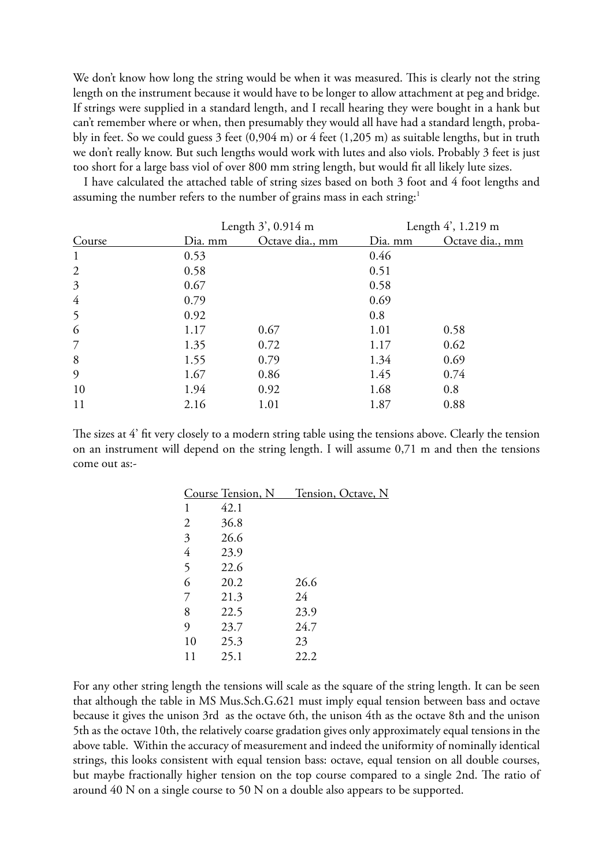We don't know how long the string would be when it was measured. This is clearly not the string length on the instrument because it would have to be longer to allow attachment at peg and bridge. If strings were supplied in a standard length, and I recall hearing they were bought in a hank but can't remember where or when, then presumably they would all have had a standard length, probably in feet. So we could guess 3 feet (0,904 m) or 4 feet (1,205 m) as suitable lengths, but in truth we don't really know. But such lengths would work with lutes and also viols. Probably 3 feet is just too short for a large bass viol of over 800 mm string length, but would fit all likely lute sizes.

 I have calculated the attached table of string sizes based on both 3 foot and 4 foot lengths and assuming the number refers to the number of grains mass in each string:<sup>1</sup>

|                |                | Length 3', 0.914 m |         | Length 4', 1.219 m |  |
|----------------|----------------|--------------------|---------|--------------------|--|
| Course         | <u>Dia. mm</u> | Octave dia., mm    | Dia. mm | Octave dia., mm    |  |
| $\mathbf{1}$   | 0.53           |                    | 0.46    |                    |  |
| $\overline{2}$ | 0.58           |                    | 0.51    |                    |  |
| $\mathfrak{Z}$ | 0.67           |                    | 0.58    |                    |  |
| $\overline{4}$ | 0.79           |                    | 0.69    |                    |  |
| 5              | 0.92           |                    | 0.8     |                    |  |
| 6              | 1.17           | 0.67               | 1.01    | 0.58               |  |
| 7              | 1.35           | 0.72               | 1.17    | 0.62               |  |
| 8              | 1.55           | 0.79               | 1.34    | 0.69               |  |
| 9              | 1.67           | 0.86               | 1.45    | 0.74               |  |
| 10             | 1.94           | 0.92               | 1.68    | 0.8                |  |
| 11             | 2.16           | 1.01               | 1.87    | 0.88               |  |

The sizes at 4' fit very closely to a modern string table using the tensions above. Clearly the tension on an instrument will depend on the string length. I will assume 0,71 m and then the tensions come out as:-

|    | Course Tension, N | Tension, Octave, N |
|----|-------------------|--------------------|
| 1  | 42.1              |                    |
| 2  | 36.8              |                    |
| 3  | 26.6              |                    |
| 4  | 23.9              |                    |
| 5  | 22.6              |                    |
| 6  | 20.2              | 26.6               |
| 7  | 21.3              | 24                 |
| 8  | 22.5              | 23.9               |
| 9  | 23.7              | 24.7               |
| 10 | 25.3              | 23                 |
| 11 | 25.1              | 22.2               |

For any other string length the tensions will scale as the square of the string length. It can be seen that although the table in MS Mus.Sch.G.621 must imply equal tension between bass and octave because it gives the unison 3rd as the octave 6th, the unison 4th as the octave 8th and the unison 5th as the octave 10th, the relatively coarse gradation gives only approximately equal tensions in the above table. Within the accuracy of measurement and indeed the uniformity of nominally identical strings, this looks consistent with equal tension bass: octave, equal tension on all double courses, but maybe fractionally higher tension on the top course compared to a single 2nd. The ratio of around 40 N on a single course to 50 N on a double also appears to be supported.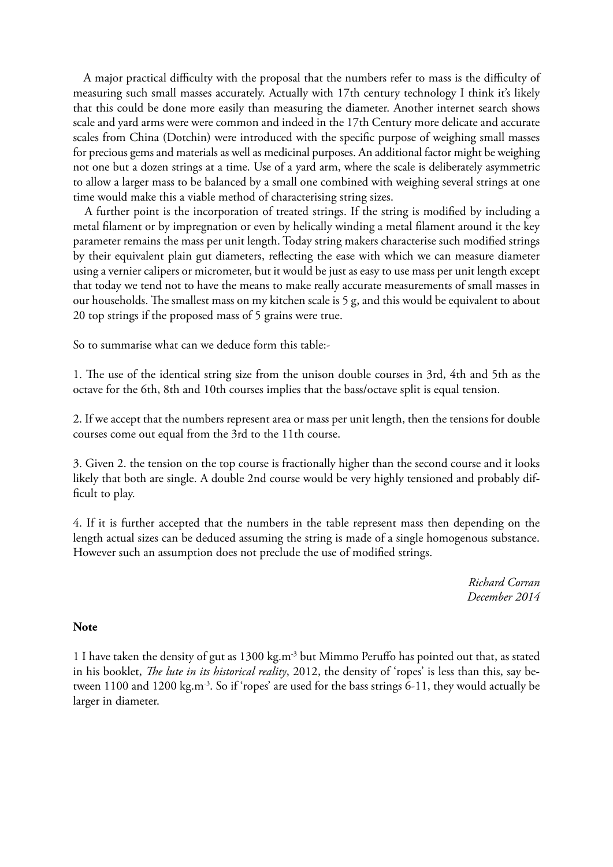A major practical difficulty with the proposal that the numbers refer to mass is the difficulty of measuring such small masses accurately. Actually with 17th century technology I think it's likely that this could be done more easily than measuring the diameter. Another internet search shows scale and yard arms were were common and indeed in the 17th Century more delicate and accurate scales from China (Dotchin) were introduced with the specific purpose of weighing small masses for precious gems and materials as well as medicinal purposes. An additional factor might be weighing not one but a dozen strings at a time. Use of a yard arm, where the scale is deliberately asymmetric to allow a larger mass to be balanced by a small one combined with weighing several strings at one time would make this a viable method of characterising string sizes.

 A further point is the incorporation of treated strings. If the string is modified by including a metal filament or by impregnation or even by helically winding a metal filament around it the key parameter remains the mass per unit length. Today string makers characterise such modified strings by their equivalent plain gut diameters, reflecting the ease with which we can measure diameter using a vernier calipers or micrometer, but it would be just as easy to use mass per unit length except that today we tend not to have the means to make really accurate measurements of small masses in our households. The smallest mass on my kitchen scale is 5 g, and this would be equivalent to about 20 top strings if the proposed mass of 5 grains were true.

So to summarise what can we deduce form this table:-

1. The use of the identical string size from the unison double courses in 3rd, 4th and 5th as the octave for the 6th, 8th and 10th courses implies that the bass/octave split is equal tension.

2. If we accept that the numbers represent area or mass per unit length, then the tensions for double courses come out equal from the 3rd to the 11th course.

3. Given 2. the tension on the top course is fractionally higher than the second course and it looks likely that both are single. A double 2nd course would be very highly tensioned and probably difficult to play.

4. If it is further accepted that the numbers in the table represent mass then depending on the length actual sizes can be deduced assuming the string is made of a single homogenous substance. However such an assumption does not preclude the use of modified strings.

> *Richard Corran December 2014*

## **Note**

1 I have taken the density of gut as 1300 kg.m<sup>-3</sup> but Mimmo Peruffo has pointed out that, as stated in his booklet, *The lute in its historical reality*, 2012, the density of 'ropes' is less than this, say between 1100 and 1200 kg.m<sup>-3</sup>. So if 'ropes' are used for the bass strings 6-11, they would actually be larger in diameter.